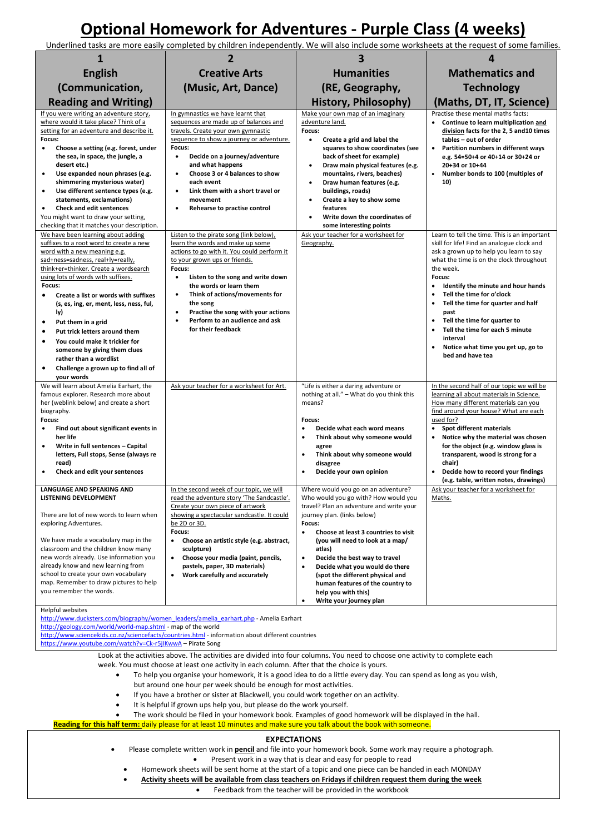## **Optional Homework for Adventures - Purple Class (4 weeks)**

Underlined tasks are more easily completed by children independently. We will also include some worksheets at the request of some families.

| 1                                                                                                                                                                                                                                                                                                                                                                                                                                                                                                                                                                                                                                                                                                                                                                                                                                                       | $\overline{2}$                                                                                                                                                                                                                                                                                                                                                                                  | 3                                                                                                                                                                                                                                                                                                                                                                                                                                | 4                                                                                                                                                                                                                                                                                                                                                                                                                               |  |  |  |
|---------------------------------------------------------------------------------------------------------------------------------------------------------------------------------------------------------------------------------------------------------------------------------------------------------------------------------------------------------------------------------------------------------------------------------------------------------------------------------------------------------------------------------------------------------------------------------------------------------------------------------------------------------------------------------------------------------------------------------------------------------------------------------------------------------------------------------------------------------|-------------------------------------------------------------------------------------------------------------------------------------------------------------------------------------------------------------------------------------------------------------------------------------------------------------------------------------------------------------------------------------------------|----------------------------------------------------------------------------------------------------------------------------------------------------------------------------------------------------------------------------------------------------------------------------------------------------------------------------------------------------------------------------------------------------------------------------------|---------------------------------------------------------------------------------------------------------------------------------------------------------------------------------------------------------------------------------------------------------------------------------------------------------------------------------------------------------------------------------------------------------------------------------|--|--|--|
| <b>English</b>                                                                                                                                                                                                                                                                                                                                                                                                                                                                                                                                                                                                                                                                                                                                                                                                                                          | <b>Creative Arts</b>                                                                                                                                                                                                                                                                                                                                                                            | <b>Humanities</b>                                                                                                                                                                                                                                                                                                                                                                                                                | <b>Mathematics and</b>                                                                                                                                                                                                                                                                                                                                                                                                          |  |  |  |
| (Communication,                                                                                                                                                                                                                                                                                                                                                                                                                                                                                                                                                                                                                                                                                                                                                                                                                                         | (Music, Art, Dance)<br>(RE, Geography,                                                                                                                                                                                                                                                                                                                                                          |                                                                                                                                                                                                                                                                                                                                                                                                                                  | <b>Technology</b>                                                                                                                                                                                                                                                                                                                                                                                                               |  |  |  |
| <b>Reading and Writing)</b>                                                                                                                                                                                                                                                                                                                                                                                                                                                                                                                                                                                                                                                                                                                                                                                                                             |                                                                                                                                                                                                                                                                                                                                                                                                 | <b>History, Philosophy)</b>                                                                                                                                                                                                                                                                                                                                                                                                      | (Maths, DT, IT, Science)                                                                                                                                                                                                                                                                                                                                                                                                        |  |  |  |
| If you were writing an adventure story,<br>where would it take place? Think of a<br>setting for an adventure and describe it.<br>Focus:<br>Choose a setting (e.g. forest, under<br>$\bullet$<br>the sea, in space, the jungle, a<br>desert etc.)<br>Use expanded noun phrases (e.g.<br>$\bullet$<br>shimmering mysterious water)<br>Use different sentence types (e.g.<br>$\bullet$<br>statements, exclamations)<br><b>Check and edit sentences</b><br>٠<br>You might want to draw your setting,                                                                                                                                                                                                                                                                                                                                                        | In gymnastics we have learnt that<br>sequences are made up of balances and<br>travels. Create your own gymnastic<br>sequence to show a journey or adventure.<br>Focus:<br>Decide on a journey/adventure<br>$\bullet$<br>and what happens<br>Choose 3 or 4 balances to show<br>٠<br>each event<br>Link them with a short travel or<br>$\bullet$<br>movement<br>Rehearse to practise control<br>٠ | Make your own map of an imaginary<br>adventure land.<br>Focus:<br>$\bullet$<br>Create a grid and label the<br>squares to show coordinates (see<br>back of sheet for example)<br>Draw main physical features (e.g.<br>$\bullet$<br>mountains, rivers, beaches)<br>Draw human features (e.g.<br>$\bullet$<br>buildings, roads)<br>Create a key to show some<br>$\bullet$<br>features<br>Write down the coordinates of<br>$\bullet$ | Practise these mental maths facts:<br>Continue to learn multiplication and<br>division facts for the 2, 5 and 10 times<br>tables - out of order<br>Partition numbers in different ways<br>e.g. 54=50+4 or 40+14 or 30+24 or<br>20+34 or 10+44<br>Number bonds to 100 (multiples of<br>$\bullet$<br>10)                                                                                                                          |  |  |  |
| checking that it matches your description.<br>We have been learning about adding                                                                                                                                                                                                                                                                                                                                                                                                                                                                                                                                                                                                                                                                                                                                                                        | Listen to the pirate song (link below),                                                                                                                                                                                                                                                                                                                                                         | some interesting points<br>Ask your teacher for a worksheet for                                                                                                                                                                                                                                                                                                                                                                  | Learn to tell the time. This is an important                                                                                                                                                                                                                                                                                                                                                                                    |  |  |  |
| suffixes to a root word to create a new<br>word with a new meaning e.g.<br>sad+ness=sadness, real+ly=really,<br>think+er=thinker. Create a wordsearch<br>using lots of words with suffixes.<br>Focus:<br>Create a list or words with suffixes<br>(s, es, ing, er, ment, less, ness, ful,<br>ly)<br>Put them in a grid<br>٠<br>Put trick letters around them<br>$\bullet$<br>You could make it trickier for<br>$\bullet$<br>someone by giving them clues<br>rather than a wordlist<br>Challenge a grown up to find all of<br>$\bullet$<br>your words                                                                                                                                                                                                                                                                                                     | learn the words and make up some<br>actions to go with it. You could perform it<br>to your grown ups or friends.<br>Focus:<br>Listen to the song and write down<br>$\bullet$<br>the words or learn them<br>Think of actions/movements for<br>$\bullet$<br>the song<br>Practise the song with your actions<br>$\bullet$<br>Perform to an audience and ask<br>for their feedback                  | Geography.                                                                                                                                                                                                                                                                                                                                                                                                                       | skill for life! Find an analogue clock and<br>ask a grown up to help you learn to say<br>what the time is on the clock throughout<br>the week.<br>Focus:<br>Identify the minute and hour hands<br>Tell the time for o'clock<br>Tell the time for quarter and half<br>past<br>Tell the time for quarter to<br>Tell the time for each 5 minute<br>$\bullet$<br>interval<br>Notice what time you get up, go to<br>bed and have tea |  |  |  |
| We will learn about Amelia Earhart, the                                                                                                                                                                                                                                                                                                                                                                                                                                                                                                                                                                                                                                                                                                                                                                                                                 | Ask your teacher for a worksheet for Art.                                                                                                                                                                                                                                                                                                                                                       | "Life is either a daring adventure or                                                                                                                                                                                                                                                                                                                                                                                            | In the second half of our topic we will be                                                                                                                                                                                                                                                                                                                                                                                      |  |  |  |
| famous explorer. Research more about<br>her (weblink below) and create a short<br>biography.<br>Focus:<br>Find out about significant events in<br>her life<br>Write in full sentences - Capital<br>$\bullet$<br>letters, Full stops, Sense (always re<br>read)<br>Check and edit your sentences<br>$\bullet$                                                                                                                                                                                                                                                                                                                                                                                                                                                                                                                                            |                                                                                                                                                                                                                                                                                                                                                                                                 | nothing at all." - What do you think this<br>means?<br>Focus:<br>Decide what each word means<br>Think about why someone would<br>$\bullet$<br>agree<br>$\bullet$<br>Think about why someone would<br>disagree<br>Decide your own opinion<br>$\bullet$                                                                                                                                                                            | learning all about materials in Science.<br>How many different materials can you<br>find around your house? What are each<br>used for?<br>Spot different materials<br>Notice why the material was chosen<br>for the object (e.g. window glass is<br>transparent, wood is strong for a<br>chair)<br>Decide how to record your findings<br>$\bullet$<br>(e.g. table, written notes, drawings)                                     |  |  |  |
| LANGUAGE AND SPEAKING AND<br><b>LISTENING DEVELOPMENT</b>                                                                                                                                                                                                                                                                                                                                                                                                                                                                                                                                                                                                                                                                                                                                                                                               | In the second week of our topic, we will<br>read the adventure story 'The Sandcastle'.                                                                                                                                                                                                                                                                                                          | Where would you go on an adventure?<br>Who would you go with? How would you                                                                                                                                                                                                                                                                                                                                                      | Ask your teacher for a worksheet for<br>Maths.                                                                                                                                                                                                                                                                                                                                                                                  |  |  |  |
| There are lot of new words to learn when<br>exploring Adventures.<br>We have made a vocabulary map in the<br>classroom and the children know many<br>new words already. Use information you<br>already know and new learning from<br>school to create your own vocabulary<br>map. Remember to draw pictures to help<br>you remember the words.                                                                                                                                                                                                                                                                                                                                                                                                                                                                                                          | Create your own piece of artwork<br>showing a spectacular sandcastle. It could<br>be 2D or 3D.<br>Focus:<br>Choose an artistic style (e.g. abstract,<br>$\bullet$<br>sculpture)<br>Choose your media (paint, pencils,<br>$\bullet$<br>pastels, paper, 3D materials)<br>Work carefully and accurately<br>$\bullet$                                                                               | travel? Plan an adventure and write your<br>journey plan. (links below)<br>Focus:<br>Choose at least 3 countries to visit<br>$\bullet$<br>(you will need to look at a map/<br>atlas)<br>Decide the best way to travel<br>$\bullet$<br>$\bullet$<br>Decide what you would do there<br>(spot the different physical and<br>human features of the country to<br>help you with this)<br>Write your journey plan<br>٠                 |                                                                                                                                                                                                                                                                                                                                                                                                                                 |  |  |  |
| Helpful websites<br>http://www.ducksters.com/biography/women_leaders/amelia_earhart.php - Amelia Earhart                                                                                                                                                                                                                                                                                                                                                                                                                                                                                                                                                                                                                                                                                                                                                |                                                                                                                                                                                                                                                                                                                                                                                                 |                                                                                                                                                                                                                                                                                                                                                                                                                                  |                                                                                                                                                                                                                                                                                                                                                                                                                                 |  |  |  |
| http://geology.com/world/world-map.shtml - map of the world<br>http://www.sciencekids.co.nz/sciencefacts/countries.html - information about different countries<br>https://www.youtube.com/watch?v=Ck-r5jlKwwA - Pirate Song                                                                                                                                                                                                                                                                                                                                                                                                                                                                                                                                                                                                                            |                                                                                                                                                                                                                                                                                                                                                                                                 |                                                                                                                                                                                                                                                                                                                                                                                                                                  |                                                                                                                                                                                                                                                                                                                                                                                                                                 |  |  |  |
| Look at the activities above. The activities are divided into four columns. You need to choose one activity to complete each<br>week. You must choose at least one activity in each column. After that the choice is yours.<br>To help you organise your homework, it is a good idea to do a little every day. You can spend as long as you wish,<br>$\bullet$<br>but around one hour per week should be enough for most activities.<br>If you have a brother or sister at Blackwell, you could work together on an activity.<br>$\bullet$<br>It is helpful if grown ups help you, but please do the work yourself.<br>The work should be filed in your homework book. Examples of good homework will be displayed in the hall.<br>Reading for this half term: daily please for at least 10 minutes and make sure you talk about the book with someone. |                                                                                                                                                                                                                                                                                                                                                                                                 |                                                                                                                                                                                                                                                                                                                                                                                                                                  |                                                                                                                                                                                                                                                                                                                                                                                                                                 |  |  |  |
| <b>EXPECTATIONS</b>                                                                                                                                                                                                                                                                                                                                                                                                                                                                                                                                                                                                                                                                                                                                                                                                                                     |                                                                                                                                                                                                                                                                                                                                                                                                 |                                                                                                                                                                                                                                                                                                                                                                                                                                  |                                                                                                                                                                                                                                                                                                                                                                                                                                 |  |  |  |
| Please complete written work in <b>pencil</b> and file into your homework book. Some work may require a photograph.<br>Present work in a way that is clear and easy for people to read<br>Homework sheets will be sent home at the start of a topic and one piece can be handed in each MONDAY<br>Activity sheets will be available from class teachers on Fridays if children request them during the week<br>Feedback from the teacher will be provided in the workbook<br>$\bullet$                                                                                                                                                                                                                                                                                                                                                                  |                                                                                                                                                                                                                                                                                                                                                                                                 |                                                                                                                                                                                                                                                                                                                                                                                                                                  |                                                                                                                                                                                                                                                                                                                                                                                                                                 |  |  |  |